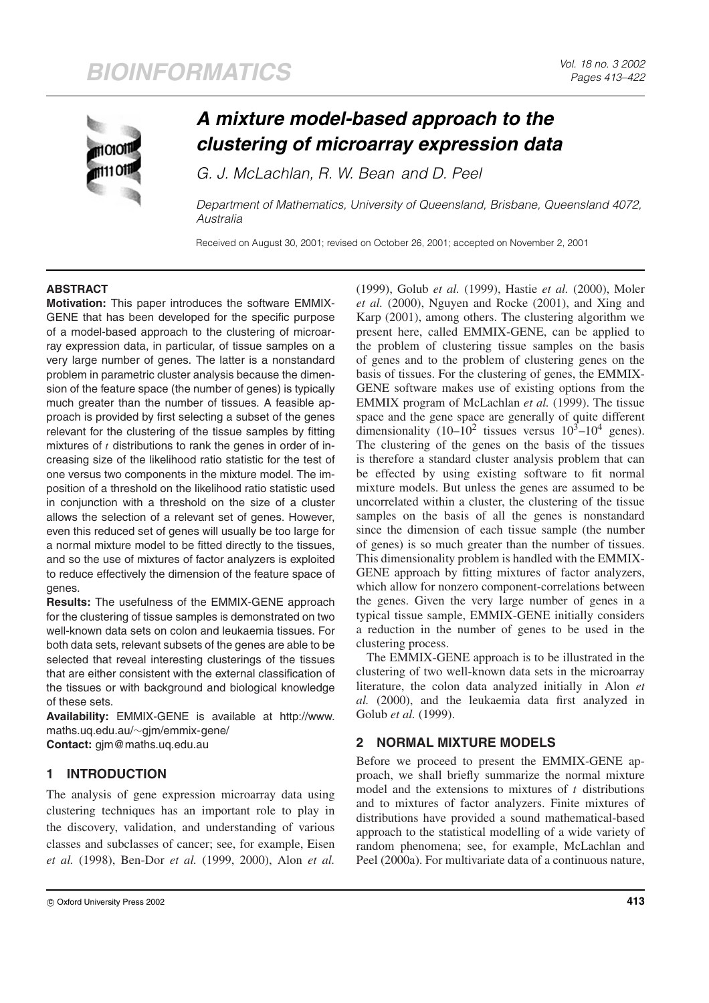

# *A mixture model-based approach to the clustering of microarray expression data*

*G. J. McLachlan, R. W. Bean and D. Peel*

*Department of Mathematics, University of Queensland, Brisbane, Queensland 4072, Australia*

Received on August 30, 2001; revised on October 26, 2001; accepted on November 2, 2001

# **ABSTRACT**

**Motivation:** This paper introduces the software EMMIX-GENE that has been developed for the specific purpose of a model-based approach to the clustering of microarray expression data, in particular, of tissue samples on a very large number of genes. The latter is a nonstandard problem in parametric cluster analysis because the dimension of the feature space (the number of genes) is typically much greater than the number of tissues. A feasible approach is provided by first selecting a subset of the genes relevant for the clustering of the tissue samples by fitting mixtures of *t* distributions to rank the genes in order of increasing size of the likelihood ratio statistic for the test of one versus two components in the mixture model. The imposition of a threshold on the likelihood ratio statistic used in conjunction with a threshold on the size of a cluster allows the selection of a relevant set of genes. However, even this reduced set of genes will usually be too large for a normal mixture model to be fitted directly to the tissues, and so the use of mixtures of factor analyzers is exploited to reduce effectively the dimension of the feature space of genes.

**Results:** The usefulness of the EMMIX-GENE approach for the clustering of tissue samples is demonstrated on two well-known data sets on colon and leukaemia tissues. For both data sets, relevant subsets of the genes are able to be selected that reveal interesting clusterings of the tissues that are either consistent with the external classification of the tissues or with background and biological knowledge of these sets.

**Availability:** EMMIX-GENE is available at http://www. maths.uq.edu.au/∼gjm/emmix-gene/ **Contact:** gjm@maths.uq.edu.au

# **1 INTRODUCTION**

The analysis of gene expression microarray data using clustering techniques has an important role to play in the discovery, validation, and understanding of various classes and subclasses of cancer; see, for example, Eisen *et al.* (1998), Ben-Dor *et al.* (1999, 2000), Alon *et al.*

-c Oxford University Press 2002 **413**

(1999), Golub *et al.* (1999), Hastie *et al.* (2000), Moler *et al.* (2000), Nguyen and Rocke (2001), and Xing and Karp (2001), among others. The clustering algorithm we present here, called EMMIX-GENE, can be applied to the problem of clustering tissue samples on the basis of genes and to the problem of clustering genes on the basis of tissues. For the clustering of genes, the EMMIX-GENE software makes use of existing options from the EMMIX program of McLachlan *et al.* (1999). The tissue space and the gene space are generally of quite different dimensionality  $(10-10^2$  tissues versus  $10^3-10^4$  genes). The clustering of the genes on the basis of the tissues is therefore a standard cluster analysis problem that can be effected by using existing software to fit normal mixture models. But unless the genes are assumed to be uncorrelated within a cluster, the clustering of the tissue samples on the basis of all the genes is nonstandard since the dimension of each tissue sample (the number of genes) is so much greater than the number of tissues. This dimensionality problem is handled with the EMMIX-GENE approach by fitting mixtures of factor analyzers, which allow for nonzero component-correlations between the genes. Given the very large number of genes in a typical tissue sample, EMMIX-GENE initially considers a reduction in the number of genes to be used in the clustering process.

The EMMIX-GENE approach is to be illustrated in the clustering of two well-known data sets in the microarray literature, the colon data analyzed initially in Alon *et al.* (2000), and the leukaemia data first analyzed in Golub *et al.* (1999).

# **2 NORMAL MIXTURE MODELS**

Before we proceed to present the EMMIX-GENE approach, we shall briefly summarize the normal mixture model and the extensions to mixtures of *t* distributions and to mixtures of factor analyzers. Finite mixtures of distributions have provided a sound mathematical-based approach to the statistical modelling of a wide variety of random phenomena; see, for example, McLachlan and Peel (2000a). For multivariate data of a continuous nature,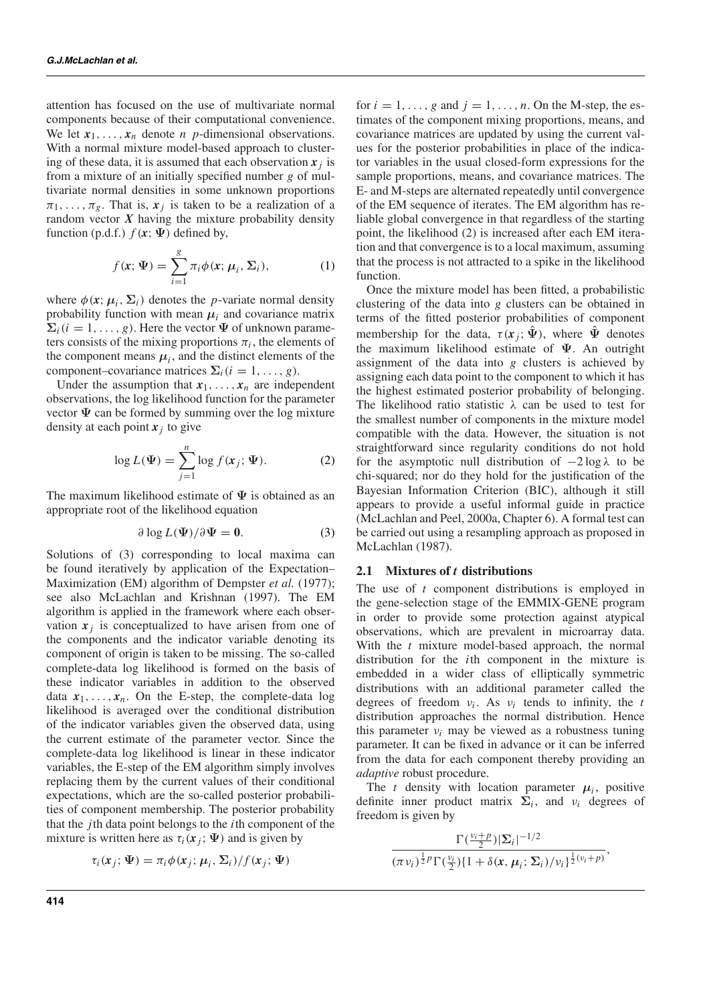attention has focused on the use of multivariate normal components because of their computational convenience. We let  $x_1, \ldots, x_n$  denote *n p*-dimensional observations. With a normal mixture model-based approach to clustering of these data, it is assumed that each observation  $x_j$  is from a mixture of an initially specified number *g* of multivariate normal densities in some unknown proportions  $\pi_1, \ldots, \pi_g$ . That is,  $x_j$  is taken to be a realization of a random vector  $X$  having the mixture probability density function (p.d.f.)  $f(x; \Psi)$  defined by,

$$
f(\mathbf{x}; \Psi) = \sum_{i=1}^{g} \pi_i \phi(\mathbf{x}; \mu_i, \Sigma_i), \tag{1}
$$

where  $\phi(\mathbf{x}; \mu_i, \Sigma_i)$  denotes the *p*-variate normal density probability function with mean  $\mu_i$  and covariance matrix  $\Sigma_i$  ( $i = 1, \ldots, g$ ). Here the vector  $\Psi$  of unknown parameters consists of the mixing proportions  $\pi_i$ , the elements of the component means  $\mu_i$ , and the distinct elements of the component–covariance matrices  $\Sigma_i$  ( $i = 1, \ldots, g$ ).

Under the assumption that  $x_1, \ldots, x_n$  are independent observations, the log likelihood function for the parameter vector  $\Psi$  can be formed by summing over the log mixture density at each point  $x_i$  to give

$$
\log L(\Psi) = \sum_{j=1}^{n} \log f(x_j; \Psi). \tag{2}
$$

The maximum likelihood estimate of **Ψ** is obtained as an appropriate root of the likelihood equation

$$
\partial \log L(\Psi)/\partial \Psi = 0. \tag{3}
$$

Solutions of (3) corresponding to local maxima can be found iteratively by application of the Expectation– Maximization (EM) algorithm of Dempster *et al.* (1977); see also McLachlan and Krishnan (1997). The EM algorithm is applied in the framework where each observation  $x_j$  is conceptualized to have arisen from one of the components and the indicator variable denoting its component of origin is taken to be missing. The so-called complete-data log likelihood is formed on the basis of these indicator variables in addition to the observed data  $x_1, \ldots, x_n$ . On the E-step, the complete-data log likelihood is averaged over the conditional distribution of the indicator variables given the observed data, using the current estimate of the parameter vector. Since the complete-data log likelihood is linear in these indicator variables, the E-step of the EM algorithm simply involves replacing them by the current values of their conditional expectations, which are the so-called posterior probabilities of component membership. The posterior probability that the *j*th data point belongs to the *i*th component of the mixture is written here as  $\tau_i(x_j; \Psi)$  and is given by

$$
\tau_i(\mathbf{x}_j; \Psi) = \pi_i \phi(\mathbf{x}_j; \mu_i, \Sigma_i) / f(\mathbf{x}_j; \Psi)
$$

for  $i = 1, \ldots, g$  and  $j = 1, \ldots, n$ . On the M-step, the estimates of the component mixing proportions, means, and covariance matrices are updated by using the current values for the posterior probabilities in place of the indicator variables in the usual closed-form expressions for the sample proportions, means, and covariance matrices. The E- and M-steps are alternated repeatedly until convergence of the EM sequence of iterates. The EM algorithm has reliable global convergence in that regardless of the starting point, the likelihood (2) is increased after each EM iteration and that convergence is to a local maximum, assuming that the process is not attracted to a spike in the likelihood function.

Once the mixture model has been fitted, a probabilistic clustering of the data into *g* clusters can be obtained in terms of the fitted posterior probabilities of component membership for the data,  $\tau(x_i; \hat{\Psi})$ , where  $\hat{\Psi}$  denotes the maximum likelihood estimate of **Ψ**. An outright assignment of the data into *g* clusters is achieved by assigning each data point to the component to which it has the highest estimated posterior probability of belonging. The likelihood ratio statistic  $\lambda$  can be used to test for the smallest number of components in the mixture model compatible with the data. However, the situation is not straightforward since regularity conditions do not hold for the asymptotic null distribution of  $-2 \log \lambda$  to be chi-squared; nor do they hold for the justification of the Bayesian Information Criterion (BIC), although it still appears to provide a useful informal guide in practice (McLachlan and Peel, 2000a, Chapter 6). A formal test can be carried out using a resampling approach as proposed in McLachlan (1987).

#### **2.1 Mixtures of** *t* **distributions**

The use of *t* component distributions is employed in the gene-selection stage of the EMMIX-GENE program in order to provide some protection against atypical observations, which are prevalent in microarray data. With the *t* mixture model-based approach, the normal distribution for the *i*th component in the mixture is embedded in a wider class of elliptically symmetric distributions with an additional parameter called the degrees of freedom  $v_i$ . As  $v_i$  tends to infinity, the *t* distribution approaches the normal distribution. Hence this parameter  $v_i$  may be viewed as a robustness tuning parameter. It can be fixed in advance or it can be inferred from the data for each component thereby providing an *adaptive* robust procedure.

The *t* density with location parameter  $\mu_i$ , positive definite inner product matrix  $\Sigma_i$ , and  $\nu_i$  degrees of freedom is given by

$$
\frac{\Gamma(\frac{\nu_i+p}{2})|\Sigma_i|^{-1/2}}{(\pi\nu_i)^{\frac{1}{2}p}\Gamma(\frac{\nu_i}{2})\{1+\delta(x,\mu_i;\Sigma_i)/\nu_i\}^{\frac{1}{2}(\nu_i+p)}},
$$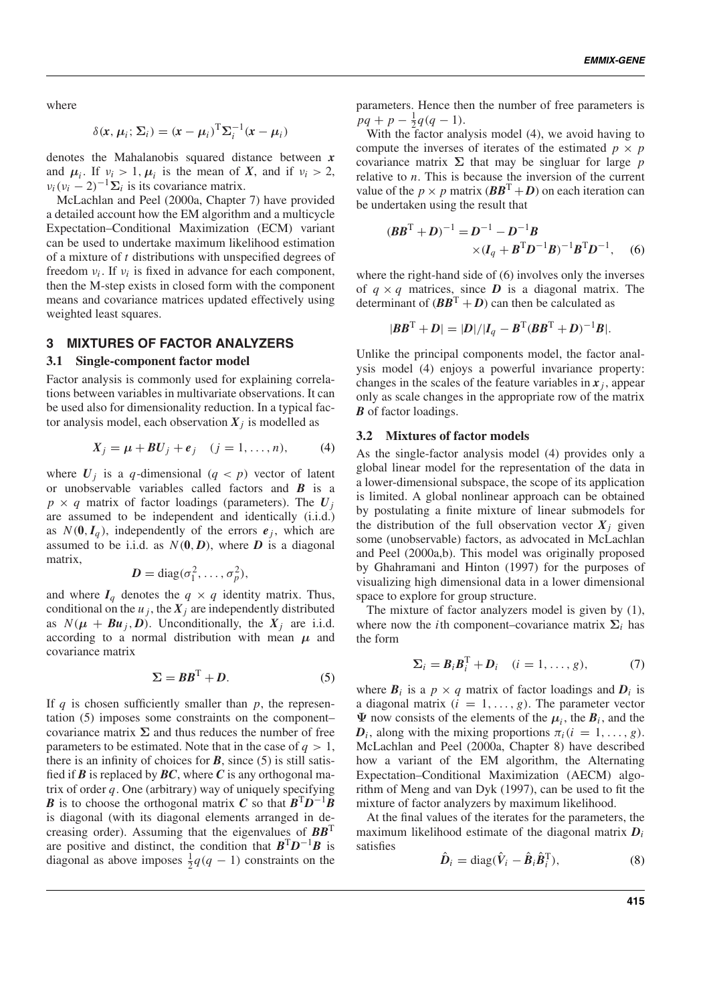where

$$
\delta(x, \mu_i; \Sigma_i) = (x - \mu_i)^{\mathrm{T}} \Sigma_i^{-1} (x - \mu_i)
$$

denotes the Mahalanobis squared distance between *x* and  $\mu_i$ . If  $\nu_i > 1$ ,  $\mu_i$  is the mean of *X*, and if  $\nu_i > 2$ ,  $v_i(v_i - 2)^{-1} \Sigma_i$  is its covariance matrix.

McLachlan and Peel (2000a, Chapter 7) have provided a detailed account how the EM algorithm and a multicycle Expectation–Conditional Maximization (ECM) variant can be used to undertake maximum likelihood estimation of a mixture of *t* distributions with unspecified degrees of freedom  $v_i$ . If  $v_i$  is fixed in advance for each component, then the M-step exists in closed form with the component means and covariance matrices updated effectively using weighted least squares.

## **3 MIXTURES OF FACTOR ANALYZERS**

#### **3.1 Single-component factor model**

Factor analysis is commonly used for explaining correlations between variables in multivariate observations. It can be used also for dimensionality reduction. In a typical factor analysis model, each observation  $X_j$  is modelled as

$$
X_j = \mu + BU_j + e_j \quad (j = 1, \dots, n), \tag{4}
$$

where  $U_j$  is a *q*-dimensional  $(q < p)$  vector of latent or unobservable variables called factors and *B* is a  $p \times q$  matrix of factor loadings (parameters). The  $U_j$ are assumed to be independent and identically (i.i.d.) as  $N(\mathbf{0}, I_q)$ , independently of the errors  $e_j$ , which are assumed to be i.i.d. as  $N(0, D)$ , where  $D$  is a diagonal matrix,

$$
D = \text{diag}(\sigma_1^2, \ldots, \sigma_p^2),
$$

and where  $I_q$  denotes the  $q \times q$  identity matrix. Thus, conditional on the  $u_j$ , the  $X_j$  are independently distributed as  $N(\mu + Bu_j, D)$ . Unconditionally, the  $X_j$  are i.i.d. according to a normal distribution with mean  $\mu$  and covariance matrix

$$
\Sigma = BB^{\mathrm{T}} + D. \tag{5}
$$

If  $q$  is chosen sufficiently smaller than  $p$ , the representation (5) imposes some constraints on the component– covariance matrix  $\Sigma$  and thus reduces the number of free parameters to be estimated. Note that in the case of  $q > 1$ , there is an infinity of choices for  $\bm{B}$ , since (5) is still satisfied if *B* is replaced by *BC*, where *C* is any orthogonal matrix of order *q*. One (arbitrary) way of uniquely specifying *B* is to choose the orthogonal matrix *C* so that  $B^{T}D^{-1}B$ is diagonal (with its diagonal elements arranged in decreasing order). Assuming that the eigenvalues of *BB*<sup>T</sup> are positive and distinct, the condition that  $\mathbf{B}^T \mathbf{D}^{-1} \mathbf{B}$  is diagonal as above imposes  $\frac{1}{2}q(q-1)$  constraints on the parameters. Hence then the number of free parameters is  $pq + p - \frac{1}{2}q(q - 1).$ 

With the factor analysis model (4), we avoid having to compute the inverses of iterates of the estimated  $p \times p$ covariance matrix  $\Sigma$  that may be singluar for large *p* relative to *n*. This is because the inversion of the current value of the  $p \times p$  matrix ( $\mathbf{B}\mathbf{B}^T + \mathbf{D}$ ) on each iteration can be undertaken using the result that

$$
(BBT + D)-1 = D-1 - D-1B
$$
  
×(I<sub>q</sub> + B<sup>T</sup>D<sup>-1</sup>B)<sup>-1</sup>B<sup>T</sup>D<sup>-1</sup>, (6)

where the right-hand side of (6) involves only the inverses of  $q \times q$  matrices, since *D* is a diagonal matrix. The determinant of  $(BB^T + D)$  can then be calculated as

$$
|\boldsymbol{B}\boldsymbol{B}^{\mathrm{T}}+\boldsymbol{D}|=|\boldsymbol{D}|/|\boldsymbol{I}_q-\boldsymbol{B}^{\mathrm{T}}(\boldsymbol{B}\boldsymbol{B}^{\mathrm{T}}+\boldsymbol{D})^{-1}\boldsymbol{B}|.
$$

Unlike the principal components model, the factor analysis model (4) enjoys a powerful invariance property: changes in the scales of the feature variables in  $x_i$ , appear only as scale changes in the appropriate row of the matrix *B* of factor loadings.

#### **3.2 Mixtures of factor models**

As the single-factor analysis model (4) provides only a global linear model for the representation of the data in a lower-dimensional subspace, the scope of its application is limited. A global nonlinear approach can be obtained by postulating a finite mixture of linear submodels for the distribution of the full observation vector  $X_i$  given some (unobservable) factors, as advocated in McLachlan and Peel (2000a,b). This model was originally proposed by Ghahramani and Hinton (1997) for the purposes of visualizing high dimensional data in a lower dimensional space to explore for group structure.

The mixture of factor analyzers model is given by (1), where now the *i*th component–covariance matrix  $\Sigma_i$  has the form

$$
\Sigma_i = B_i B_i^{\mathrm{T}} + D_i \quad (i = 1, \dots, g), \tag{7}
$$

where  $B_i$  is a  $p \times q$  matrix of factor loadings and  $D_i$  is a diagonal matrix  $(i = 1, \ldots, g)$ . The parameter vector  $\Psi$  now consists of the elements of the  $\mu_i$ , the  $B_i$ , and the  $D_i$ , along with the mixing proportions  $\pi_i$  ( $i = 1, \ldots, g$ ). McLachlan and Peel (2000a, Chapter 8) have described how a variant of the EM algorithm, the Alternating Expectation–Conditional Maximization (AECM) algorithm of Meng and van Dyk (1997), can be used to fit the mixture of factor analyzers by maximum likelihood.

At the final values of the iterates for the parameters, the maximum likelihood estimate of the diagonal matrix *D<sup>i</sup>* satisfies

$$
\hat{\boldsymbol{D}}_i = \text{diag}(\hat{\boldsymbol{V}}_i - \hat{\boldsymbol{B}}_i \hat{\boldsymbol{B}}_i^{\text{T}}),
$$
\n(8)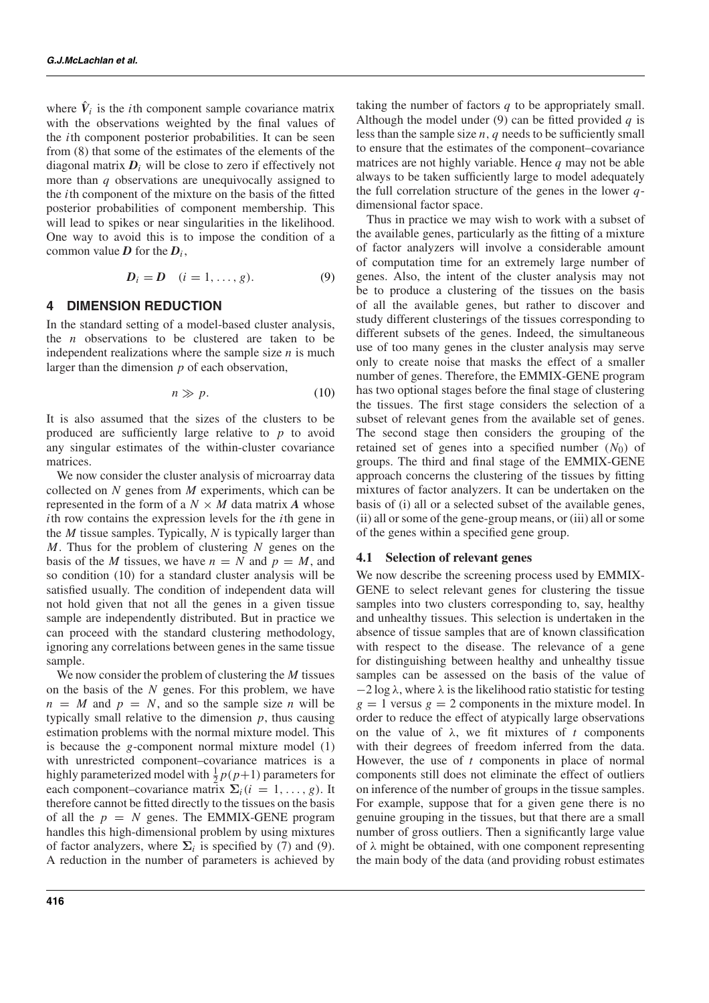where  $V_i$  is the *i*th component sample covariance matrix with the observations weighted by the final values of the *i*th component posterior probabilities. It can be seen from (8) that some of the estimates of the elements of the diagonal matrix  $D_i$  will be close to zero if effectively not more than *q* observations are unequivocally assigned to the *i*th component of the mixture on the basis of the fitted posterior probabilities of component membership. This will lead to spikes or near singularities in the likelihood. One way to avoid this is to impose the condition of a common value  $D$  for the  $D_i$ ,

$$
D_i = D \quad (i = 1, \ldots, g). \tag{9}
$$

## **4 DIMENSION REDUCTION**

In the standard setting of a model-based cluster analysis, the *n* observations to be clustered are taken to be independent realizations where the sample size *n* is much larger than the dimension *p* of each observation,

$$
n \gg p. \tag{10}
$$

It is also assumed that the sizes of the clusters to be produced are sufficiently large relative to *p* to avoid any singular estimates of the within-cluster covariance matrices.

We now consider the cluster analysis of microarray data collected on *N* genes from *M* experiments, which can be represented in the form of a  $N \times M$  data matrix A whose *i*th row contains the expression levels for the *i*th gene in the *M* tissue samples. Typically, *N* is typically larger than *M*. Thus for the problem of clustering *N* genes on the basis of the *M* tissues, we have  $n = N$  and  $p = M$ , and so condition (10) for a standard cluster analysis will be satisfied usually. The condition of independent data will not hold given that not all the genes in a given tissue sample are independently distributed. But in practice we can proceed with the standard clustering methodology, ignoring any correlations between genes in the same tissue sample.

We now consider the problem of clustering the *M* tissues on the basis of the *N* genes. For this problem, we have  $n = M$  and  $p = N$ , and so the sample size *n* will be typically small relative to the dimension *p*, thus causing estimation problems with the normal mixture model. This is because the *g*-component normal mixture model (1) with unrestricted component–covariance matrices is a highly parameterized model with  $\frac{1}{2}p(p+1)$  parameters for each component–covariance matrix  $\Sigma_i$  ( $i = 1, \ldots, g$ ). It therefore cannot be fitted directly to the tissues on the basis of all the  $p = N$  genes. The EMMIX-GENE program handles this high-dimensional problem by using mixtures of factor analyzers, where  $\Sigma_i$  is specified by (7) and (9). A reduction in the number of parameters is achieved by taking the number of factors *q* to be appropriately small. Although the model under (9) can be fitted provided *q* is less than the sample size *n*, *q* needs to be sufficiently small to ensure that the estimates of the component–covariance matrices are not highly variable. Hence *q* may not be able always to be taken sufficiently large to model adequately the full correlation structure of the genes in the lower *q*dimensional factor space.

Thus in practice we may wish to work with a subset of the available genes, particularly as the fitting of a mixture of factor analyzers will involve a considerable amount of computation time for an extremely large number of genes. Also, the intent of the cluster analysis may not be to produce a clustering of the tissues on the basis of all the available genes, but rather to discover and study different clusterings of the tissues corresponding to different subsets of the genes. Indeed, the simultaneous use of too many genes in the cluster analysis may serve only to create noise that masks the effect of a smaller number of genes. Therefore, the EMMIX-GENE program has two optional stages before the final stage of clustering the tissues. The first stage considers the selection of a subset of relevant genes from the available set of genes. The second stage then considers the grouping of the retained set of genes into a specified number  $(N_0)$  of groups. The third and final stage of the EMMIX-GENE approach concerns the clustering of the tissues by fitting mixtures of factor analyzers. It can be undertaken on the basis of (i) all or a selected subset of the available genes, (ii) all or some of the gene-group means, or (iii) all or some of the genes within a specified gene group.

#### **4.1 Selection of relevant genes**

We now describe the screening process used by EMMIX-GENE to select relevant genes for clustering the tissue samples into two clusters corresponding to, say, healthy and unhealthy tissues. This selection is undertaken in the absence of tissue samples that are of known classification with respect to the disease. The relevance of a gene for distinguishing between healthy and unhealthy tissue samples can be assessed on the basis of the value of  $-2 \log \lambda$ , where  $\lambda$  is the likelihood ratio statistic for testing  $g = 1$  versus  $g = 2$  components in the mixture model. In order to reduce the effect of atypically large observations on the value of  $\lambda$ , we fit mixtures of *t* components with their degrees of freedom inferred from the data. However, the use of *t* components in place of normal components still does not eliminate the effect of outliers on inference of the number of groups in the tissue samples. For example, suppose that for a given gene there is no genuine grouping in the tissues, but that there are a small number of gross outliers. Then a significantly large value of  $\lambda$  might be obtained, with one component representing the main body of the data (and providing robust estimates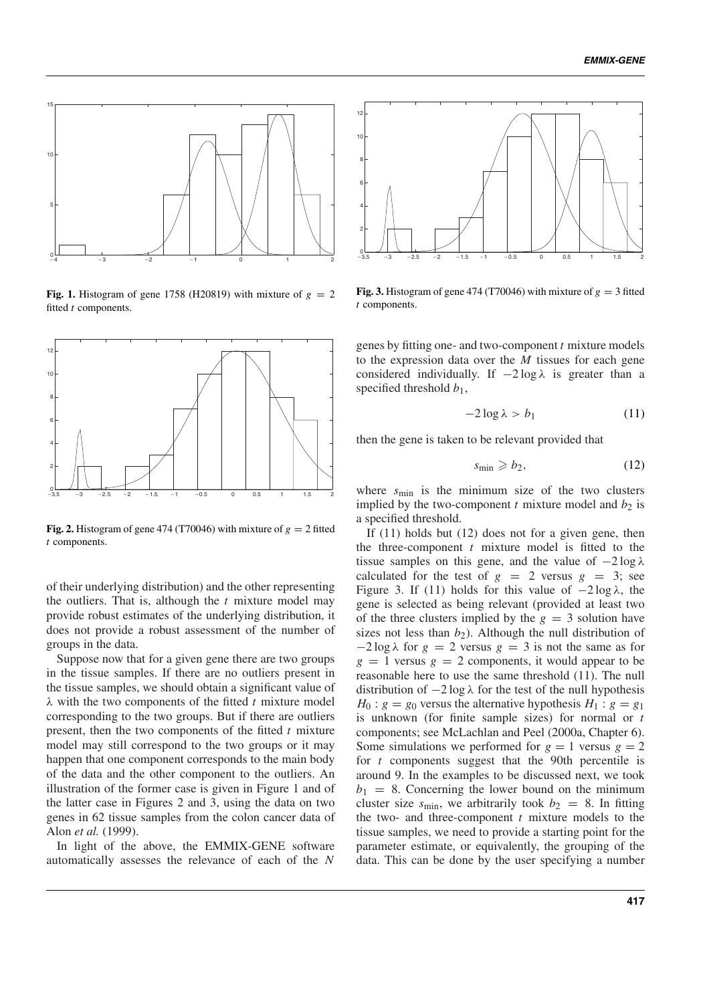

**Fig. 1.** Histogram of gene 1758 (H20819) with mixture of  $g = 2$ fitted *t* components.



**Fig. 2.** Histogram of gene 474 (T70046) with mixture of  $g = 2$  fitted *t* components.

of their underlying distribution) and the other representing the outliers. That is, although the *t* mixture model may provide robust estimates of the underlying distribution, it does not provide a robust assessment of the number of groups in the data.

Suppose now that for a given gene there are two groups in the tissue samples. If there are no outliers present in the tissue samples, we should obtain a significant value of λ with the two components of the fitted *t* mixture model corresponding to the two groups. But if there are outliers present, then the two components of the fitted *t* mixture model may still correspond to the two groups or it may happen that one component corresponds to the main body of the data and the other component to the outliers. An illustration of the former case is given in Figure 1 and of the latter case in Figures 2 and 3, using the data on two genes in 62 tissue samples from the colon cancer data of Alon *et al.* (1999).

In light of the above, the EMMIX-GENE software automatically assesses the relevance of each of the *N*



**Fig. 3.** Histogram of gene 474 (T70046) with mixture of  $g = 3$  fitted *t* components.

genes by fitting one- and two-component *t* mixture models to the expression data over the *M* tissues for each gene considered individually. If  $-2 \log \lambda$  is greater than a specified threshold  $b_1$ ,

$$
-2\log\lambda > b_1\tag{11}
$$

then the gene is taken to be relevant provided that

$$
s_{\min} \geqslant b_2,\tag{12}
$$

where *s*min is the minimum size of the two clusters implied by the two-component  $t$  mixture model and  $b_2$  is a specified threshold.

If  $(11)$  holds but  $(12)$  does not for a given gene, then the three-component *t* mixture model is fitted to the tissue samples on this gene, and the value of  $-2 \log \lambda$ calculated for the test of  $g = 2$  versus  $g = 3$ ; see Figure 3. If (11) holds for this value of  $-2 \log \lambda$ , the gene is selected as being relevant (provided at least two of the three clusters implied by the  $g = 3$  solution have sizes not less than  $b_2$ ). Although the null distribution of  $-2 \log \lambda$  for  $g = 2$  versus  $g = 3$  is not the same as for  $g = 1$  versus  $g = 2$  components, it would appear to be reasonable here to use the same threshold (11). The null distribution of  $-2 \log \lambda$  for the test of the null hypothesis  $H_0: g = g_0$  versus the alternative hypothesis  $H_1: g = g_1$ is unknown (for finite sample sizes) for normal or *t* components; see McLachlan and Peel (2000a, Chapter 6). Some simulations we performed for  $g = 1$  versus  $g = 2$ for *t* components suggest that the 90th percentile is around 9. In the examples to be discussed next, we took  $b_1 = 8$ . Concerning the lower bound on the minimum cluster size  $s_{\text{min}}$ , we arbitrarily took  $b_2 = 8$ . In fitting the two- and three-component *t* mixture models to the tissue samples, we need to provide a starting point for the parameter estimate, or equivalently, the grouping of the data. This can be done by the user specifying a number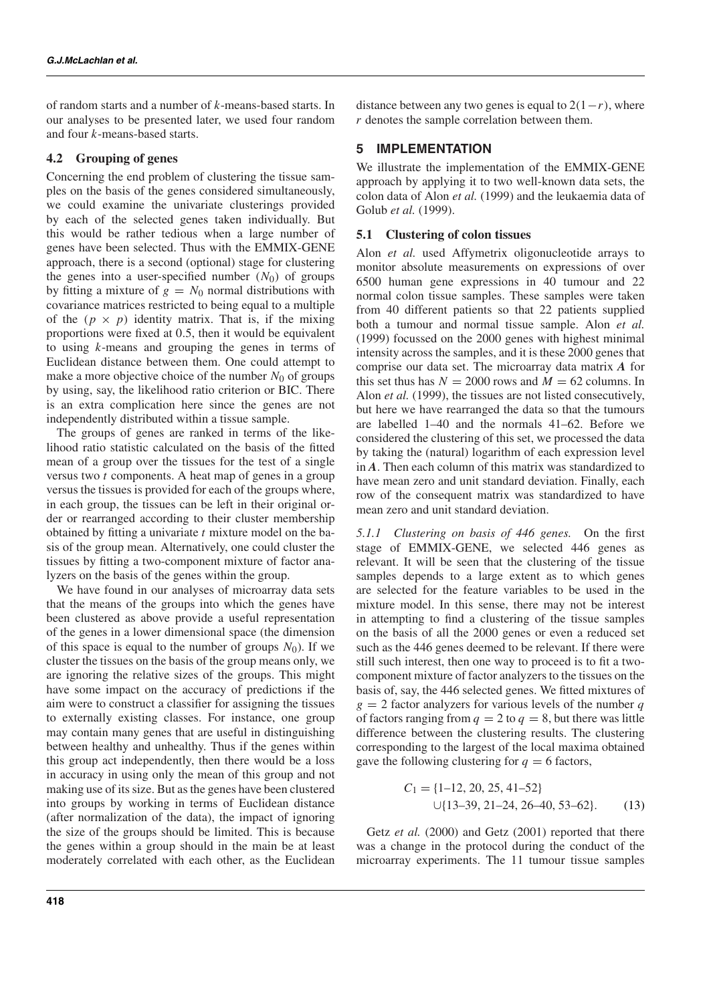of random starts and a number of *k*-means-based starts. In our analyses to be presented later, we used four random and four *k*-means-based starts.

## **4.2 Grouping of genes**

Concerning the end problem of clustering the tissue samples on the basis of the genes considered simultaneously, we could examine the univariate clusterings provided by each of the selected genes taken individually. But this would be rather tedious when a large number of genes have been selected. Thus with the EMMIX-GENE approach, there is a second (optional) stage for clustering the genes into a user-specified number  $(N_0)$  of groups by fitting a mixture of  $g = N_0$  normal distributions with covariance matrices restricted to being equal to a multiple of the  $(p \times p)$  identity matrix. That is, if the mixing proportions were fixed at 0.5, then it would be equivalent to using *k*-means and grouping the genes in terms of Euclidean distance between them. One could attempt to make a more objective choice of the number  $N_0$  of groups by using, say, the likelihood ratio criterion or BIC. There is an extra complication here since the genes are not independently distributed within a tissue sample.

The groups of genes are ranked in terms of the likelihood ratio statistic calculated on the basis of the fitted mean of a group over the tissues for the test of a single versus two *t* components. A heat map of genes in a group versus the tissues is provided for each of the groups where, in each group, the tissues can be left in their original order or rearranged according to their cluster membership obtained by fitting a univariate *t* mixture model on the basis of the group mean. Alternatively, one could cluster the tissues by fitting a two-component mixture of factor analyzers on the basis of the genes within the group.

We have found in our analyses of microarray data sets that the means of the groups into which the genes have been clustered as above provide a useful representation of the genes in a lower dimensional space (the dimension of this space is equal to the number of groups  $N_0$ ). If we cluster the tissues on the basis of the group means only, we are ignoring the relative sizes of the groups. This might have some impact on the accuracy of predictions if the aim were to construct a classifier for assigning the tissues to externally existing classes. For instance, one group may contain many genes that are useful in distinguishing between healthy and unhealthy. Thus if the genes within this group act independently, then there would be a loss in accuracy in using only the mean of this group and not making use of its size. But as the genes have been clustered into groups by working in terms of Euclidean distance (after normalization of the data), the impact of ignoring the size of the groups should be limited. This is because the genes within a group should in the main be at least moderately correlated with each other, as the Euclidean distance between any two genes is equal to 2(1−*r*), where *r* denotes the sample correlation between them.

# **5 IMPLEMENTATION**

We illustrate the implementation of the EMMIX-GENE approach by applying it to two well-known data sets, the colon data of Alon *et al.* (1999) and the leukaemia data of Golub *et al.* (1999).

## **5.1 Clustering of colon tissues**

Alon *et al.* used Affymetrix oligonucleotide arrays to monitor absolute measurements on expressions of over 6500 human gene expressions in 40 tumour and 22 normal colon tissue samples. These samples were taken from 40 different patients so that 22 patients supplied both a tumour and normal tissue sample. Alon *et al.* (1999) focussed on the 2000 genes with highest minimal intensity across the samples, and it is these 2000 genes that comprise our data set. The microarray data matrix *A* for this set thus has  $N = 2000$  rows and  $M = 62$  columns. In Alon *et al.* (1999), the tissues are not listed consecutively, but here we have rearranged the data so that the tumours are labelled 1–40 and the normals 41–62. Before we considered the clustering of this set, we processed the data by taking the (natural) logarithm of each expression level in *A*. Then each column of this matrix was standardized to have mean zero and unit standard deviation. Finally, each row of the consequent matrix was standardized to have mean zero and unit standard deviation.

*5.1.1 Clustering on basis of 446 genes.* On the first stage of EMMIX-GENE, we selected 446 genes as relevant. It will be seen that the clustering of the tissue samples depends to a large extent as to which genes are selected for the feature variables to be used in the mixture model. In this sense, there may not be interest in attempting to find a clustering of the tissue samples on the basis of all the 2000 genes or even a reduced set such as the 446 genes deemed to be relevant. If there were still such interest, then one way to proceed is to fit a twocomponent mixture of factor analyzers to the tissues on the basis of, say, the 446 selected genes. We fitted mixtures of  $g = 2$  factor analyzers for various levels of the number *q* of factors ranging from  $q = 2$  to  $q = 8$ , but there was little difference between the clustering results. The clustering corresponding to the largest of the local maxima obtained gave the following clustering for  $q = 6$  factors,

$$
C_1 = \{1-12, 20, 25, 41-52\}
$$
  
 
$$
\cup \{13-39, 21-24, 26-40, 53-62\}.
$$
 (13)

Getz *et al.* (2000) and Getz (2001) reported that there was a change in the protocol during the conduct of the microarray experiments. The 11 tumour tissue samples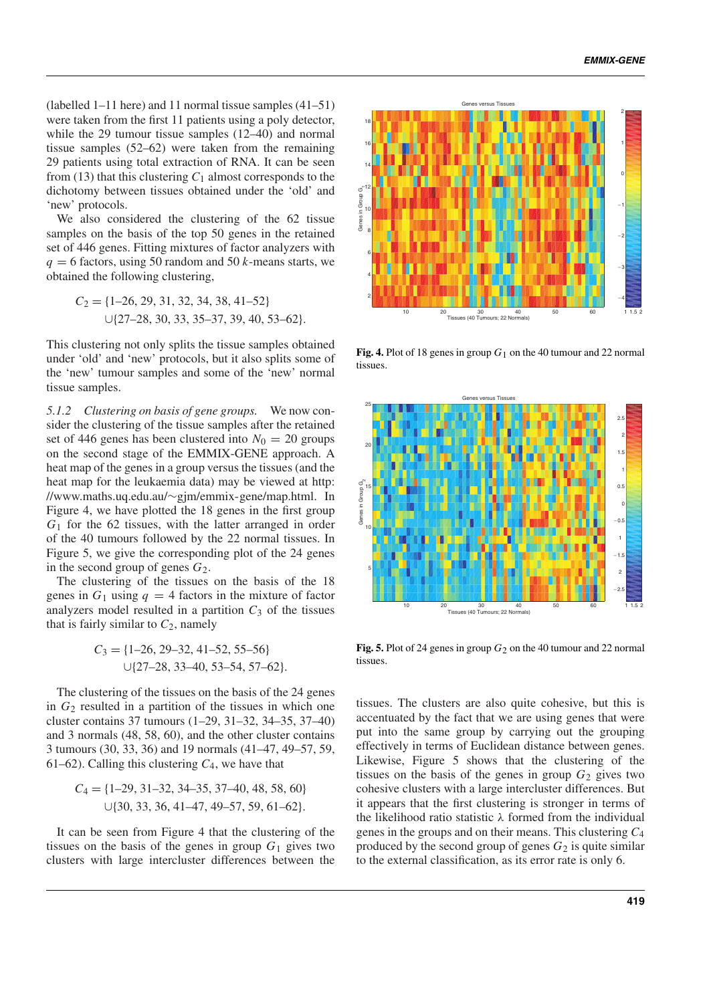(labelled 1–11 here) and 11 normal tissue samples (41–51) were taken from the first 11 patients using a poly detector, while the 29 tumour tissue samples (12–40) and normal tissue samples (52–62) were taken from the remaining 29 patients using total extraction of RNA. It can be seen from (13) that this clustering  $C_1$  almost corresponds to the dichotomy between tissues obtained under the 'old' and 'new' protocols.

We also considered the clustering of the 62 tissue samples on the basis of the top 50 genes in the retained set of 446 genes. Fitting mixtures of factor analyzers with  $q = 6$  factors, using 50 random and 50 *k*-means starts, we obtained the following clustering,

$$
C_2 = \{1-26, 29, 31, 32, 34, 38, 41-52\}
$$
  
 
$$
\cup \{27-28, 30, 33, 35-37, 39, 40, 53-62\}.
$$

This clustering not only splits the tissue samples obtained under 'old' and 'new' protocols, but it also splits some of the 'new' tumour samples and some of the 'new' normal tissue samples.

*5.1.2 Clustering on basis of gene groups.* We now consider the clustering of the tissue samples after the retained set of 446 genes has been clustered into  $N_0 = 20$  groups on the second stage of the EMMIX-GENE approach. A heat map of the genes in a group versus the tissues (and the heat map for the leukaemia data) may be viewed at http: //www.maths.uq.edu.au/∼gjm/emmix-gene/map.html. In Figure 4, we have plotted the 18 genes in the first group *G*<sup>1</sup> for the 62 tissues, with the latter arranged in order of the 40 tumours followed by the 22 normal tissues. In Figure 5, we give the corresponding plot of the 24 genes in the second group of genes  $G_2$ .

The clustering of the tissues on the basis of the 18 genes in  $G_1$  using  $q = 4$  factors in the mixture of factor analyzers model resulted in a partition  $C_3$  of the tissues that is fairly similar to  $C_2$ , namely

$$
C_3 = \{1-26, 29-32, 41-52, 55-56\}
$$
  
 
$$
\cup \{27-28, 33-40, 53-54, 57-62\}.
$$

The clustering of the tissues on the basis of the 24 genes in *G*<sup>2</sup> resulted in a partition of the tissues in which one cluster contains 37 tumours (1–29, 31–32, 34–35, 37–40) and 3 normals (48, 58, 60), and the other cluster contains 3 tumours (30, 33, 36) and 19 normals (41–47, 49–57, 59, 61–62). Calling this clustering *C*4, we have that

$$
C_4 = \{1-29, 31-32, 34-35, 37-40, 48, 58, 60\}
$$
  

$$
\cup \{30, 33, 36, 41-47, 49-57, 59, 61-62\}.
$$

It can be seen from Figure 4 that the clustering of the tissues on the basis of the genes in group  $G_1$  gives two clusters with large intercluster differences between the



**Fig. 4.** Plot of 18 genes in group  $G_1$  on the 40 tumour and 22 normal tissues.



**Fig. 5.** Plot of 24 genes in group  $G_2$  on the 40 tumour and 22 normal tissues.

tissues. The clusters are also quite cohesive, but this is accentuated by the fact that we are using genes that were put into the same group by carrying out the grouping effectively in terms of Euclidean distance between genes. Likewise, Figure 5 shows that the clustering of the tissues on the basis of the genes in group  $G_2$  gives two cohesive clusters with a large intercluster differences. But it appears that the first clustering is stronger in terms of the likelihood ratio statistic  $\lambda$  formed from the individual genes in the groups and on their means. This clustering *C*<sup>4</sup> produced by the second group of genes *G*<sup>2</sup> is quite similar to the external classification, as its error rate is only 6.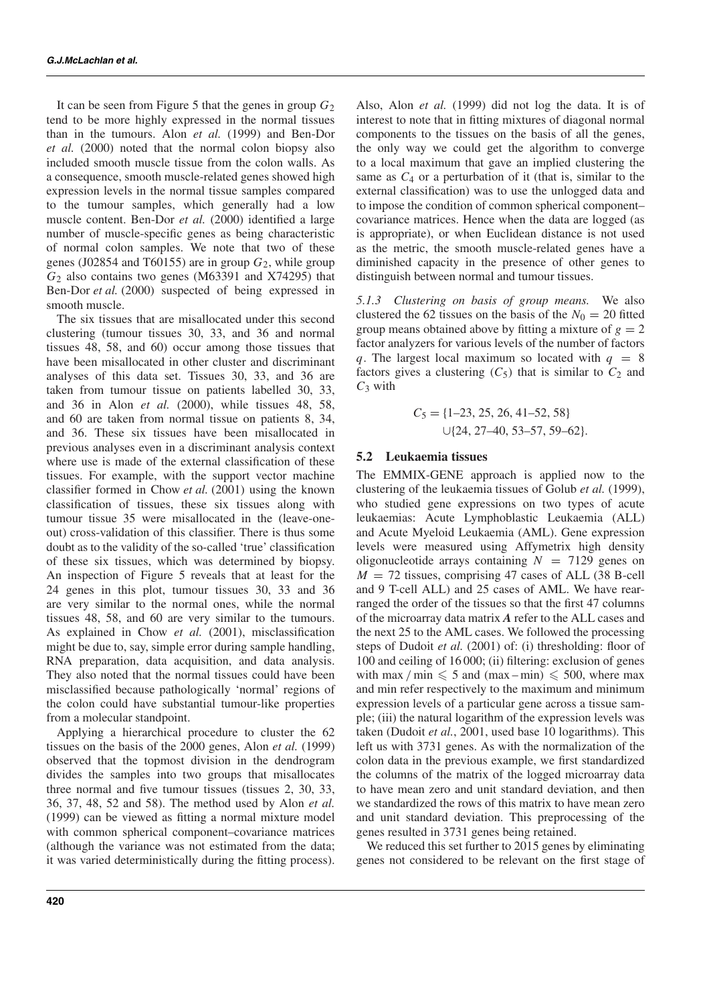It can be seen from Figure 5 that the genes in group *G*<sup>2</sup> tend to be more highly expressed in the normal tissues than in the tumours. Alon *et al.* (1999) and Ben-Dor *et al.* (2000) noted that the normal colon biopsy also included smooth muscle tissue from the colon walls. As a consequence, smooth muscle-related genes showed high expression levels in the normal tissue samples compared to the tumour samples, which generally had a low muscle content. Ben-Dor *et al.* (2000) identified a large number of muscle-specific genes as being characteristic of normal colon samples. We note that two of these genes (J02854 and T60155) are in group *G*2, while group *G*<sup>2</sup> also contains two genes (M63391 and X74295) that Ben-Dor *et al.* (2000) suspected of being expressed in smooth muscle.

The six tissues that are misallocated under this second clustering (tumour tissues 30, 33, and 36 and normal tissues 48, 58, and 60) occur among those tissues that have been misallocated in other cluster and discriminant analyses of this data set. Tissues 30, 33, and 36 are taken from tumour tissue on patients labelled 30, 33, and 36 in Alon *et al.* (2000), while tissues 48, 58, and 60 are taken from normal tissue on patients 8, 34, and 36. These six tissues have been misallocated in previous analyses even in a discriminant analysis context where use is made of the external classification of these tissues. For example, with the support vector machine classifier formed in Chow *et al.* (2001) using the known classification of tissues, these six tissues along with tumour tissue 35 were misallocated in the (leave-oneout) cross-validation of this classifier. There is thus some doubt as to the validity of the so-called 'true' classification of these six tissues, which was determined by biopsy. An inspection of Figure 5 reveals that at least for the 24 genes in this plot, tumour tissues 30, 33 and 36 are very similar to the normal ones, while the normal tissues 48, 58, and 60 are very similar to the tumours. As explained in Chow *et al.* (2001), misclassification might be due to, say, simple error during sample handling, RNA preparation, data acquisition, and data analysis. They also noted that the normal tissues could have been misclassified because pathologically 'normal' regions of the colon could have substantial tumour-like properties from a molecular standpoint.

Applying a hierarchical procedure to cluster the 62 tissues on the basis of the 2000 genes, Alon *et al.* (1999) observed that the topmost division in the dendrogram divides the samples into two groups that misallocates three normal and five tumour tissues (tissues 2, 30, 33, 36, 37, 48, 52 and 58). The method used by Alon *et al.* (1999) can be viewed as fitting a normal mixture model with common spherical component–covariance matrices (although the variance was not estimated from the data; it was varied deterministically during the fitting process). Also, Alon *et al.* (1999) did not log the data. It is of interest to note that in fitting mixtures of diagonal normal components to the tissues on the basis of all the genes, the only way we could get the algorithm to converge to a local maximum that gave an implied clustering the same as  $C_4$  or a perturbation of it (that is, similar to the external classification) was to use the unlogged data and to impose the condition of common spherical component– covariance matrices. Hence when the data are logged (as is appropriate), or when Euclidean distance is not used as the metric, the smooth muscle-related genes have a diminished capacity in the presence of other genes to distinguish between normal and tumour tissues.

*5.1.3 Clustering on basis of group means.* We also clustered the 62 tissues on the basis of the  $N_0 = 20$  fitted group means obtained above by fitting a mixture of  $g = 2$ factor analyzers for various levels of the number of factors *q*. The largest local maximum so located with  $q = 8$ factors gives a clustering  $(C_5)$  that is similar to  $C_2$  and *C*<sup>3</sup> with

$$
C_5 = \{1-23, 25, 26, 41-52, 58\}
$$
  
∪{24, 27-40, 53-57, 59-62}.

#### **5.2 Leukaemia tissues**

The EMMIX-GENE approach is applied now to the clustering of the leukaemia tissues of Golub *et al.* (1999), who studied gene expressions on two types of acute leukaemias: Acute Lymphoblastic Leukaemia (ALL) and Acute Myeloid Leukaemia (AML). Gene expression levels were measured using Affymetrix high density oligonucleotide arrays containing  $N = 7129$  genes on  $M = 72$  tissues, comprising 47 cases of ALL (38 B-cell and 9 T-cell ALL) and 25 cases of AML. We have rearranged the order of the tissues so that the first 47 columns of the microarray data matrix *A* refer to the ALL cases and the next 25 to the AML cases. We followed the processing steps of Dudoit *et al.* (2001) of: (i) thresholding: floor of 100 and ceiling of 16 000; (ii) filtering: exclusion of genes with max / min  $\leq 5$  and (max – min)  $\leq 500$ , where max and min refer respectively to the maximum and minimum expression levels of a particular gene across a tissue sample; (iii) the natural logarithm of the expression levels was taken (Dudoit *et al.*, 2001, used base 10 logarithms). This left us with 3731 genes. As with the normalization of the colon data in the previous example, we first standardized the columns of the matrix of the logged microarray data to have mean zero and unit standard deviation, and then we standardized the rows of this matrix to have mean zero and unit standard deviation. This preprocessing of the genes resulted in 3731 genes being retained.

We reduced this set further to 2015 genes by eliminating genes not considered to be relevant on the first stage of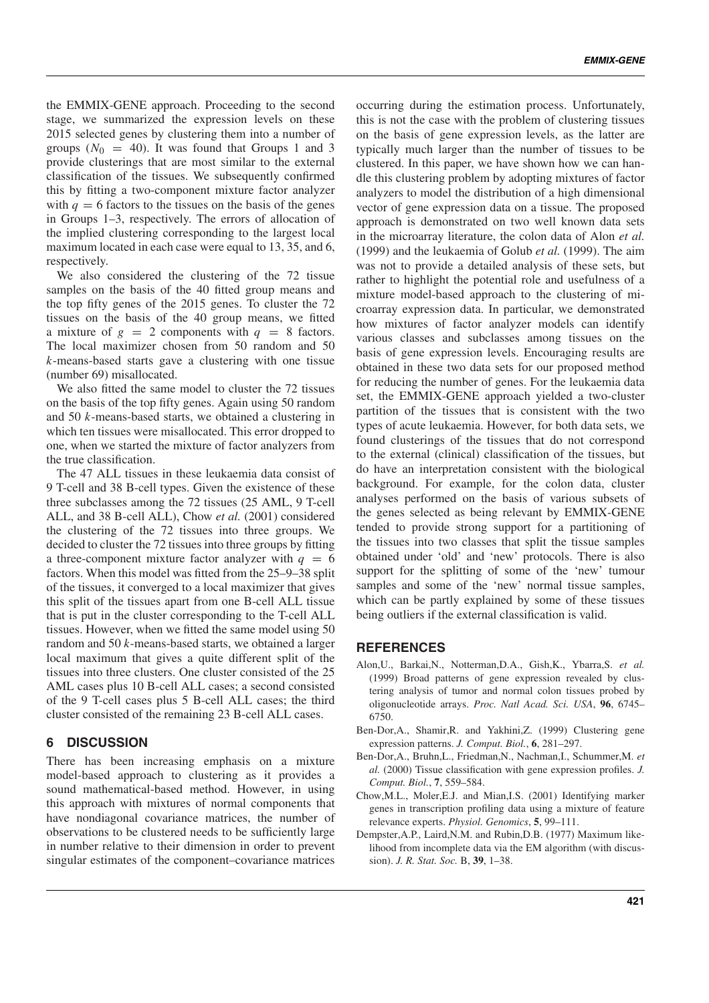the EMMIX-GENE approach. Proceeding to the second stage, we summarized the expression levels on these 2015 selected genes by clustering them into a number of groups  $(N_0 = 40)$ . It was found that Groups 1 and 3 provide clusterings that are most similar to the external classification of the tissues. We subsequently confirmed this by fitting a two-component mixture factor analyzer with  $q = 6$  factors to the tissues on the basis of the genes in Groups 1–3, respectively. The errors of allocation of the implied clustering corresponding to the largest local maximum located in each case were equal to 13, 35, and 6, respectively.

We also considered the clustering of the 72 tissue samples on the basis of the 40 fitted group means and the top fifty genes of the 2015 genes. To cluster the 72 tissues on the basis of the 40 group means, we fitted a mixture of  $g = 2$  components with  $q = 8$  factors. The local maximizer chosen from 50 random and 50 *k*-means-based starts gave a clustering with one tissue (number 69) misallocated.

We also fitted the same model to cluster the 72 tissues on the basis of the top fifty genes. Again using 50 random and 50 *k*-means-based starts, we obtained a clustering in which ten tissues were misallocated. This error dropped to one, when we started the mixture of factor analyzers from the true classification.

The 47 ALL tissues in these leukaemia data consist of 9 T-cell and 38 B-cell types. Given the existence of these three subclasses among the 72 tissues (25 AML, 9 T-cell ALL, and 38 B-cell ALL), Chow *et al.* (2001) considered the clustering of the 72 tissues into three groups. We decided to cluster the 72 tissues into three groups by fitting a three-component mixture factor analyzer with  $q = 6$ factors. When this model was fitted from the 25–9–38 split of the tissues, it converged to a local maximizer that gives this split of the tissues apart from one B-cell ALL tissue that is put in the cluster corresponding to the T-cell ALL tissues. However, when we fitted the same model using 50 random and 50 *k*-means-based starts, we obtained a larger local maximum that gives a quite different split of the tissues into three clusters. One cluster consisted of the 25 AML cases plus 10 B-cell ALL cases; a second consisted of the 9 T-cell cases plus 5 B-cell ALL cases; the third cluster consisted of the remaining 23 B-cell ALL cases.

### **6 DISCUSSION**

There has been increasing emphasis on a mixture model-based approach to clustering as it provides a sound mathematical-based method. However, in using this approach with mixtures of normal components that have nondiagonal covariance matrices, the number of observations to be clustered needs to be sufficiently large in number relative to their dimension in order to prevent singular estimates of the component–covariance matrices

occurring during the estimation process. Unfortunately, this is not the case with the problem of clustering tissues on the basis of gene expression levels, as the latter are typically much larger than the number of tissues to be clustered. In this paper, we have shown how we can handle this clustering problem by adopting mixtures of factor analyzers to model the distribution of a high dimensional vector of gene expression data on a tissue. The proposed approach is demonstrated on two well known data sets in the microarray literature, the colon data of Alon *et al.* (1999) and the leukaemia of Golub *et al.* (1999). The aim was not to provide a detailed analysis of these sets, but rather to highlight the potential role and usefulness of a mixture model-based approach to the clustering of microarray expression data. In particular, we demonstrated how mixtures of factor analyzer models can identify various classes and subclasses among tissues on the basis of gene expression levels. Encouraging results are obtained in these two data sets for our proposed method for reducing the number of genes. For the leukaemia data set, the EMMIX-GENE approach yielded a two-cluster partition of the tissues that is consistent with the two types of acute leukaemia. However, for both data sets, we found clusterings of the tissues that do not correspond to the external (clinical) classification of the tissues, but do have an interpretation consistent with the biological background. For example, for the colon data, cluster analyses performed on the basis of various subsets of the genes selected as being relevant by EMMIX-GENE tended to provide strong support for a partitioning of the tissues into two classes that split the tissue samples obtained under 'old' and 'new' protocols. There is also support for the splitting of some of the 'new' tumour samples and some of the 'new' normal tissue samples, which can be partly explained by some of these tissues being outliers if the external classification is valid.

#### **REFERENCES**

- Alon,U., Barkai,N., Notterman,D.A., Gish,K., Ybarra,S. *et al.* (1999) Broad patterns of gene expression revealed by clustering analysis of tumor and normal colon tissues probed by oligonucleotide arrays. *Proc. Natl Acad. Sci. USA*, **96**, 6745– 6750.
- Ben-Dor,A., Shamir,R. and Yakhini,Z. (1999) Clustering gene expression patterns. *J. Comput. Biol.*, **6**, 281–297.
- Ben-Dor,A., Bruhn,L., Friedman,N., Nachman,I., Schummer,M. *et al.* (2000) Tissue classification with gene expression profiles. *J. Comput. Biol.*, **7**, 559–584.
- Chow,M.L., Moler,E.J. and Mian,I.S. (2001) Identifying marker genes in transcription profiling data using a mixture of feature relevance experts. *Physiol. Genomics*, **5**, 99–111.
- Dempster,A.P., Laird,N.M. and Rubin,D.B. (1977) Maximum likelihood from incomplete data via the EM algorithm (with discussion). *J. R. Stat. Soc.* B, **39**, 1–38.